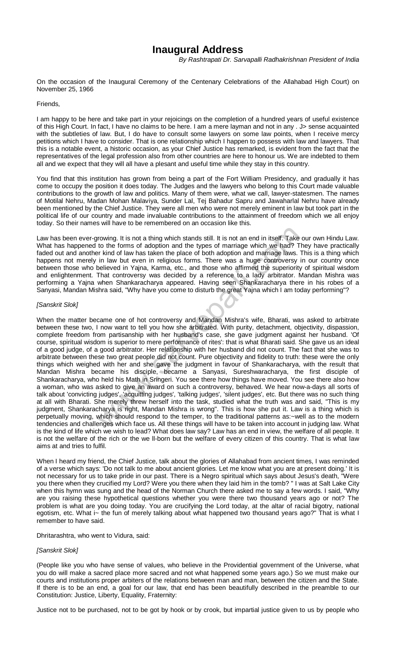## **Inaugural Address**

*By Rashtrapati Dr. Sarvapalli Radhakrishnan President of India*

On the occasion of the Inaugural Ceremony of the Centenary Celebrations of the Allahabad High Court) on November 25, 1966

## Friends,

I am happy to be here and take part in your rejoicings on the completion of a hundred years of useful existence of this High Court. In fact, I have no claims to be here. I am a mere layman and not in any . J> sense acquainted with the subtleties of law. But, I do have to consult some lawyers on some law points, when I receive mercy petitions which I have to consider. That is one relationship which I happen to possess with law and lawyers. That this is a notable event, a historic occasion, as your Chief Justice has remarked, is evident from the fact that the representatives of the legal profession also from other countries are here to honour us. We are indebted to them all and we expect that they will all have a plesant and useful time while they stay in this country.

You find that this institution has grown from being a part of the Fort William Presidency, and gradually it has come to occupy the position it does today. The Judges and the lawyers who belong to this Court made valuable contributions to the growth of law and politics. Many of them were, what we call, lawyer-statesmen. The names of Motilal Nehru, Madan Mohan Malaviya, Sunder Lal, Tej Bahadur Sapru and Jawaharlal Nehru have already been mentioned by the Chief Justice. They were all men who were not merely eminent in law but took part in the political life of our country and made invaluable contributions to the attainment of freedom which we all enjoy today. So their names will have to be remembered on an occasion like this.

Law has been ever-growing. It is not a thing which stands still. It is not an end in itself. Take our own Hindu Law. What has happened to the forms of adoption and the types of marriage which we had? They have practically faded out and another kind of law has taken the place of both adoption and marriage laws. This is a thing which happens not merely in law but even in religious forms. There was a huge controversy in our country once between those who believed in Yajna, Karma, etc., and those who affirmed the superiority of spiritual wisdom and enlightenment. That controversy was decided by a reference to a lady arbitrator. Mandan Mishra was performing a Yajna when Shankaracharya appeared. Having seen Shankaracharya there in his robes of a Sanyasi, Mandan Mishra said, "Why have you come to disturb the great Yajna which I am today performing"?

## *[Sanskrit Slok]*

When the matter became one of hot controversy and Mandan Mishra's wife, Bharati, was asked to arbitrate between these two, I now want to tell you how she arbitrated. With purity, detachment, objectivity, dispassion, complete freedom from partisanship with her husband's case, she gave judgment against her husband. 'Of course, spiritual wisdom is superior to mere performance of rites': that is what Bharati said. She gave us an ideal of a good judge, of a good arbitrator. Her relationship with her husband did not count. The fact that she was to arbitrate between these two great people did not count. Pure objectivity and fidelity to truth: these were the only things which weighed with her and she gave the judgment in favour of Shankaracharya, with the result that Mandan Mishra became his disciple, became a Sanyasi, Sureshwaracharya, the first disciple of Shankaracharya, who held his Math in Sringeri. You see there how things have moved. You see there also how a woman, who was asked to give an award on such a controversy, behaved. We hear now-a-days all sorts of talk about 'convicting judges', 'acquitting judges', 'talking judges', 'silent judges', etc. But there was no such thing at all with Bharati. She merely threw herself into the task, studied what the truth was and said, "This is my judgment, Shankaracharya is right, Mandan Mishra is wrong". This is how she put it. Law is a thing which is perpetually moving, which should respond to the temper, to the traditional patterns as:~well as to the modern tendencies and challenges which face us. All these things will have to be taken into account in judging law. What is the kind of life which we wish to lead? What does law say? Law has an end in view, the welfare of all people. It is not the welfare of the rich or the we ll-born but the welfare of every citizen of this country. That is what law aims at and tries to fulfil. rowing. It is not a thing which stands still. It is not an end in itself. Take<br>to the forms of adoption and the types of marriage which we had? T<br>r kind of law has taken the place of both adoption and marriage laws.<br>in law

When I heard my friend, the Chief Justice, talk about the glories of Allahabad from ancient times, I was reminded of a verse which says: 'Do not talk to me about ancient glories. Let me know what you are at present doing.' It is not necessary for us to take pride in our past. There is a Negro spiritual which says about Jesus's death, "Were you there when they crucified my Lord? Were you there when they laid him in the tomb? " I was at Salt Lake City when this hymn was sung and the head of the Norman Church there asked me to say a few words. I said, "Why are you raising these hypothetical questions whether you were there two thousand years ago or not? The problem is what are you doing today. You are crucifying the Lord today, at the altar of racial bigotry, national egotism, etc. What i~ the fun of merely talking about what happened two thousand years ago?" That is what I remember to have said.

Dhritarashtra, who went to Vidura, said:

## *[Sanskrit Slok]*

(People like you who have sense of values, who believe in the Providential government of the Universe, what you do will make a sacred place more sacred and not what happened some years ago.) So we must make our courts and institutions proper arbiters of the relations between man and man, between the citizen and the State. If there is to be an end, a goal for our law, that end has been beautifully described in the preamble to our Constitution: Justice, Liberty, Equality, Fraternity:

Justice not to be purchased, not to be got by hook or by crook, but impartial justice given to us by people who